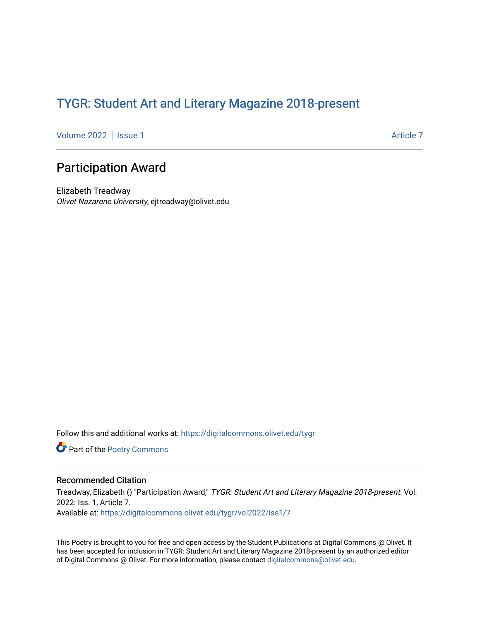## TYGR: Student Art and Literary Magazine 2018-present

[Volume 2022](https://digitalcommons.olivet.edu/tygr/vol2022) | [Issue 1](https://digitalcommons.olivet.edu/tygr/vol2022/iss1) Article 7

## Participation Award

Elizabeth Treadway Olivet Nazarene University, ejtreadway@olivet.edu

Follow this and additional works at: [https://digitalcommons.olivet.edu/tygr](https://digitalcommons.olivet.edu/tygr?utm_source=digitalcommons.olivet.edu%2Ftygr%2Fvol2022%2Fiss1%2F7&utm_medium=PDF&utm_campaign=PDFCoverPages)

Part of the [Poetry Commons](http://network.bepress.com/hgg/discipline/1153?utm_source=digitalcommons.olivet.edu%2Ftygr%2Fvol2022%2Fiss1%2F7&utm_medium=PDF&utm_campaign=PDFCoverPages) 

## Recommended Citation

Treadway, Elizabeth () "Participation Award," TYGR: Student Art and Literary Magazine 2018-present: Vol. 2022: Iss. 1, Article 7. Available at: [https://digitalcommons.olivet.edu/tygr/vol2022/iss1/7](https://digitalcommons.olivet.edu/tygr/vol2022/iss1/7?utm_source=digitalcommons.olivet.edu%2Ftygr%2Fvol2022%2Fiss1%2F7&utm_medium=PDF&utm_campaign=PDFCoverPages) 

This Poetry is brought to you for free and open access by the Student Publications at Digital Commons @ Olivet. It has been accepted for inclusion in TYGR: Student Art and Literary Magazine 2018-present by an authorized editor of Digital Commons @ Olivet. For more information, please contact [digitalcommons@olivet.edu.](mailto:digitalcommons@olivet.edu)